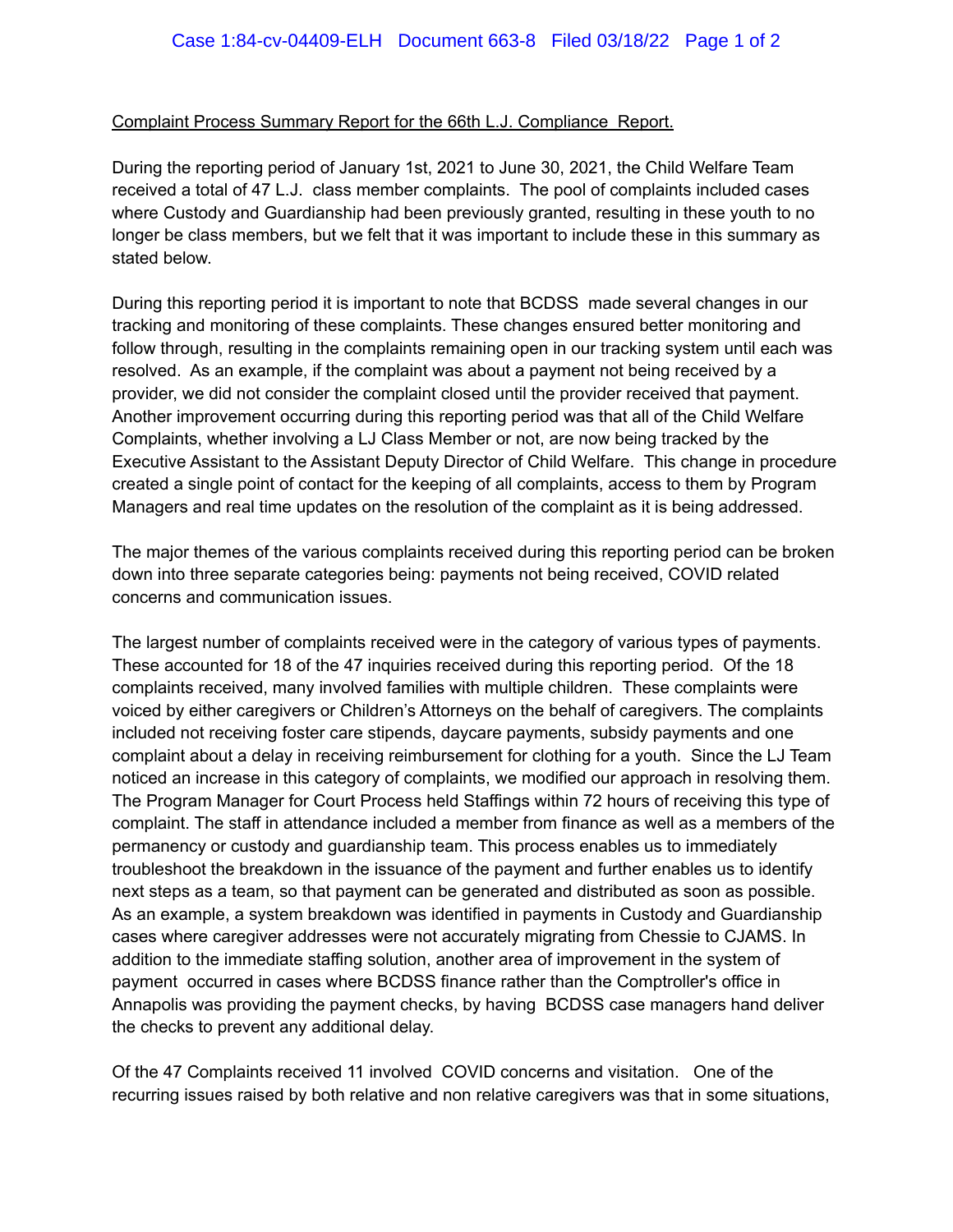## Complaint Process Summary Report for the 66th L.J. Compliance Report.

During the reporting period of January 1st, 2021 to June 30, 2021, the Child Welfare Team received a total of 47 L.J. class member complaints. The pool of complaints included cases where Custody and Guardianship had been previously granted, resulting in these youth to no longer be class members, but we felt that it was important to include these in this summary as stated below.

During this reporting period it is important to note that BCDSS made several changes in our tracking and monitoring of these complaints. These changes ensured better monitoring and follow through, resulting in the complaints remaining open in our tracking system until each was resolved. As an example, if the complaint was about a payment not being received by a provider, we did not consider the complaint closed until the provider received that payment. Another improvement occurring during this reporting period was that all of the Child Welfare Complaints, whether involving a LJ Class Member or not, are now being tracked by the Executive Assistant to the Assistant Deputy Director of Child Welfare. This change in procedure created a single point of contact for the keeping of all complaints, access to them by Program Managers and real time updates on the resolution of the complaint as it is being addressed.

The major themes of the various complaints received during this reporting period can be broken down into three separate categories being: payments not being received, COVID related concerns and communication issues.

The largest number of complaints received were in the category of various types of payments. These accounted for 18 of the 47 inquiries received during this reporting period. Of the 18 complaints received, many involved families with multiple children. These complaints were voiced by either caregivers or Children's Attorneys on the behalf of caregivers. The complaints included not receiving foster care stipends, daycare payments, subsidy payments and one complaint about a delay in receiving reimbursement for clothing for a youth. Since the LJ Team noticed an increase in this category of complaints, we modified our approach in resolving them. The Program Manager for Court Process held Staffings within 72 hours of receiving this type of complaint. The staff in attendance included a member from finance as well as a members of the permanency or custody and guardianship team. This process enables us to immediately troubleshoot the breakdown in the issuance of the payment and further enables us to identify next steps as a team, so that payment can be generated and distributed as soon as possible. As an example, a system breakdown was identified in payments in Custody and Guardianship cases where caregiver addresses were not accurately migrating from Chessie to CJAMS. In addition to the immediate staffing solution, another area of improvement in the system of payment occurred in cases where BCDSS finance rather than the Comptroller's office in Annapolis was providing the payment checks, by having BCDSS case managers hand deliver the checks to prevent any additional delay.

Of the 47 Complaints received 11 involved COVID concerns and visitation. One of the recurring issues raised by both relative and non relative caregivers was that in some situations,